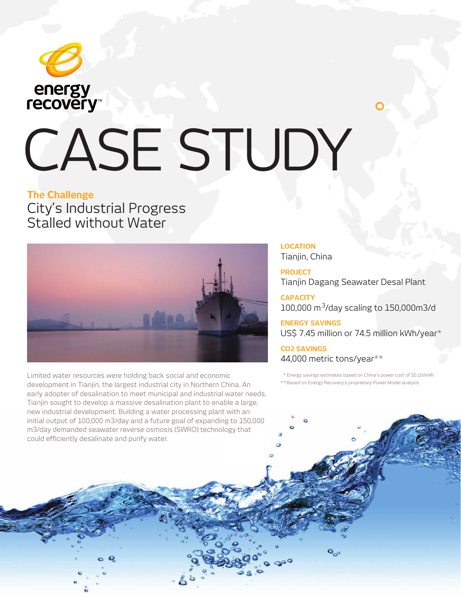

# CASE STUDY

### **The Challenge** City's Industrial Progress Stalled without Water



Limited water resources were holding back social and economic development in Tianjin, the largest industrial city in Northern China. An early adopter of desalination to meet municipal and industrial water needs, Tianjin sought to develop a massive desalination plant to enable a large, new industrial development. Building a water processing plant with an initial output of 100,000 m3/day and a future goal of expanding to 150,000 m3/day demanded seawater reverse osmosis (SWRO) technology that could efficiently desalinate and purify water.

**LOCATION** Tianjin, China

**PROJECT** Tianjin Dagang Seawater Desal Plant

**CAPACITY**  $100,000 \text{ m}^3$ /day scaling to  $150,000 \text{ m}^3$ /d

**ENERGY SAVINGS**  US\$ 7.45 million or 74.5 million kWh/year\*

**CO2 SAVINGS**  44,000 metric tons/year\*\*

\* Energy savings estimates based on China's power cost of \$0.10/kWh

\* \* Based on Energy Recovery's proprietary Power Model analysis